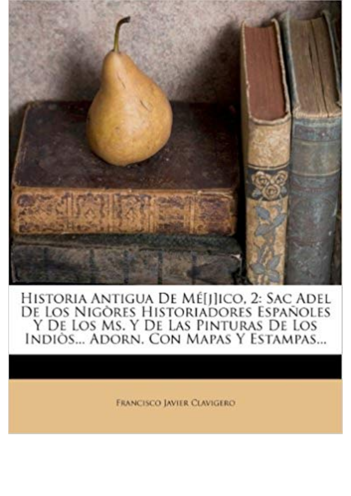

Historia Antigua De Mé[j]ico, 2: Sac Adel<br>De Los Nigòres Historiadores Españoles<br>Y De Los Ms. Y De Las Pinturas De Los<br>Indiòs... Adorn. Con Mapas Y Estampas...

**FRANCISCO JAVIER CLAVIGERO**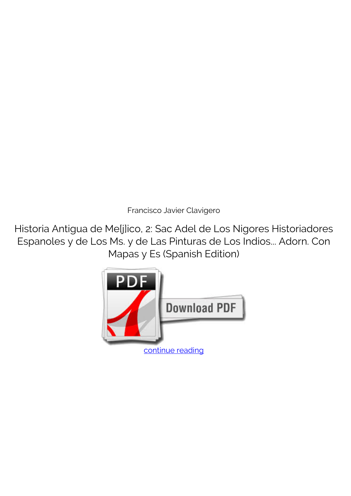*Francisco Javier Clavigero*

**Historia Antigua de Me[j]ico, 2: Sac Adel de Los Nigores Historiadores Espanoles y de Los Ms. y de Las Pinturas de Los Indios... Adorn. Con Mapas y Es (Spanish Edition)**

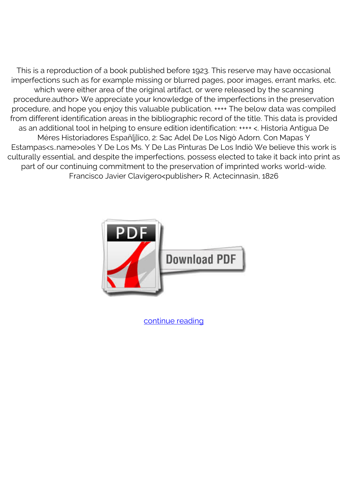This is a reproduction of a book published before 1923. This reserve may have occasional imperfections such as for example missing or blurred pages, poor images, errant marks, etc. which were either area of the original artifact, or were released by the scanning procedure.author> We appreciate your knowledge of the imperfections in the preservation procedure, and hope you enjoy this valuable publication. ++++ The below data was compiled from different identification areas in the bibliographic record of the title. This data is provided as an additional tool in helping to ensure edition identification: ++++ <. Historia Antigua De Méres Historiadores Españ[j]ico, 2: Sac Adel De Los Nigò Adorn. Con Mapas Y Estampas<s..name>oles Y De Los Ms. Y De Las Pinturas De Los Indiò We believe this work is culturally essential, and despite the imperfections, possess elected to take it back into print as part of our continuing commitment to the preservation of imprinted works world-wide. Francisco Javier Clavigero<publisher> R. Actecinnasin, 1826



[continue reading](http://bit.ly/2Tge8Fv)